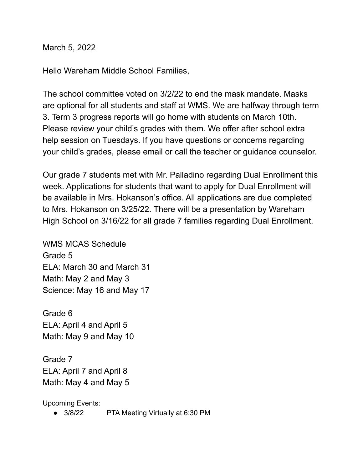March 5, 2022

Hello Wareham Middle School Families,

The school committee voted on 3/2/22 to end the mask mandate. Masks are optional for all students and staff at WMS. We are halfway through term 3. Term 3 progress reports will go home with students on March 10th. Please review your child's grades with them. We offer after school extra help session on Tuesdays. If you have questions or concerns regarding your child's grades, please email or call the teacher or guidance counselor.

Our grade 7 students met with Mr. Palladino regarding Dual Enrollment this week. Applications for students that want to apply for Dual Enrollment will be available in Mrs. Hokanson's office. All applications are due completed to Mrs. Hokanson on 3/25/22. There will be a presentation by Wareham High School on 3/16/22 for all grade 7 families regarding Dual Enrollment.

WMS MCAS Schedule Grade 5 ELA: March 30 and March 31 Math: May 2 and May 3 Science: May 16 and May 17

Grade 6 ELA: April 4 and April 5 Math: May 9 and May 10

Grade 7 ELA: April 7 and April 8 Math: May 4 and May 5

Upcoming Events:

● 3/8/22 PTA Meeting Virtually at 6:30 PM